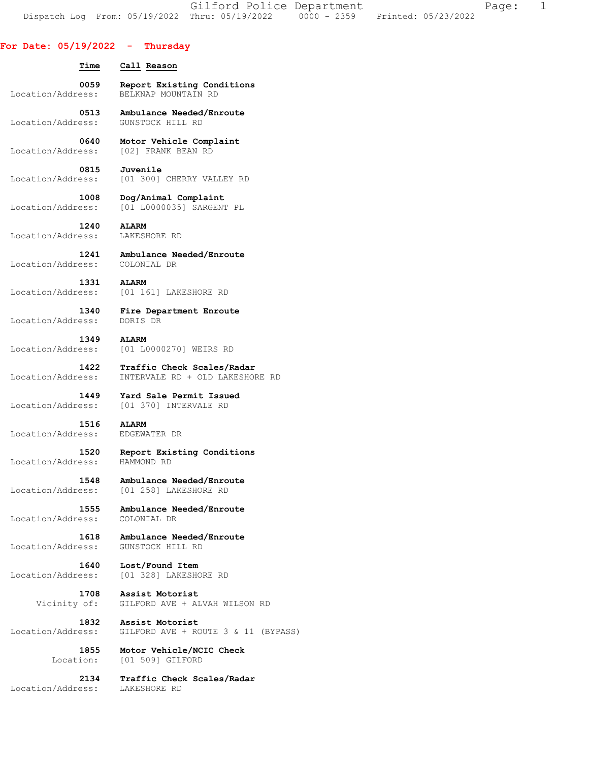Gilford Police Department The Page: 1 Dispatch Log From: 05/19/2022 Thru: 05/19/2022 0000 - 2359 Printed: 05/23/2022

## **For Date: 05/19/2022 - Thursday**

| For Date: 05/19/2022 -                | Thursday                            |
|---------------------------------------|-------------------------------------|
| Time                                  | Call Reason                         |
| 0059                                  | Report Existing Conditions          |
| Location/Address:                     | BELKNAP MOUNTAIN RD                 |
| 0513                                  | Ambulance Needed/Enroute            |
| Location/Address:                     | GUNSTOCK HILL RD                    |
| 0640                                  | Motor Vehicle Complaint             |
| Location/Address:                     | [02] FRANK BEAN RD                  |
| 0815                                  | Juvenile                            |
| Location/Address:                     | [01 300] CHERRY VALLEY RD           |
| 1008                                  | Dog/Animal Complaint                |
| Location/Address:                     | [01 L0000035] SARGENT PL            |
| Location/Address:                     | 1240 ALARM<br>LAKESHORE RD          |
| 1241<br>Location/Address: COLONIAL DR | Ambulance Needed/Enroute            |
| 1331                                  | <b>ALARM</b>                        |
| Location/Address:                     | [01 161] LAKESHORE RD               |
| 1340                                  | Fire Department Enroute             |
| Location/Address:                     | DORIS DR                            |
| 1349                                  | <b>ALARM</b>                        |
| Location/Address:                     | [01 L0000270] WEIRS RD              |
| 1422                                  | Traffic Check Scales/Radar          |
| Location/Address:                     | INTERVALE RD + OLD LAKESHORE RD     |
| 1449                                  | Yard Sale Permit Issued             |
| Location/Address:                     | [01 370] INTERVALE RD               |
| 1516                                  | <b>ALARM</b>                        |
| Location/Address:                     | EDGEWATER DR                        |
| 1520                                  | Report Existing Conditions          |
| Location/Address:                     | HAMMOND RD                          |
| 1548                                  | Ambulance Needed/Enroute            |
| Location/Address:                     | [01 258] LAKESHORE RD               |
| 1555                                  | Ambulance Needed/Enroute            |
| Location/Address:                     | COLONIAL DR                         |
| 1618                                  | Ambulance Needed/Enroute            |
| Location/Address:                     | GUNSTOCK HILL RD                    |
| 1640                                  | Lost/Found Item                     |
| Location/Address:                     | [01 328] LAKESHORE RD               |
| 1708                                  | Assist Motorist                     |
| Vicinity of:                          | GILFORD AVE + ALVAH WILSON RD       |
| 1832                                  | Assist Motorist                     |
| Location/Address:                     | GILFORD AVE + ROUTE 3 & 11 (BYPASS) |
| 1855                                  | Motor Vehicle/NCIC Check            |
| Location:                             | [01 509] GILFORD                    |
| 2134                                  | Traffic Check Scales/Radar          |
| Location/Address:                     | LAKESHORE RD                        |